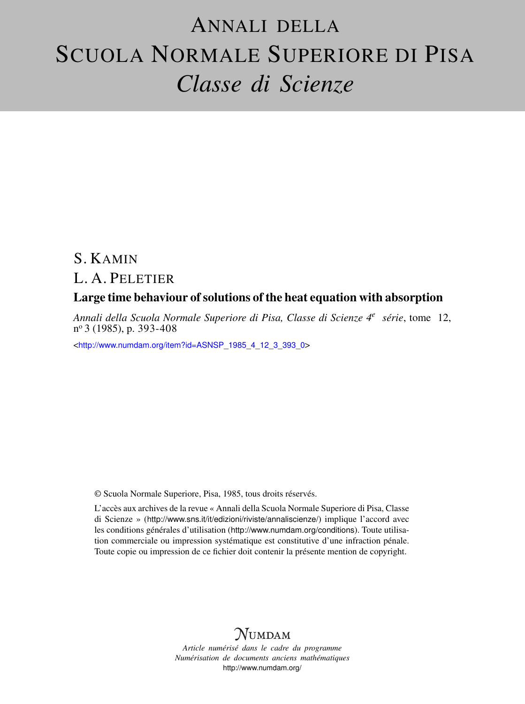# ANNALI DELLA SCUOLA NORMALE SUPERIORE DI PISA *Classe di Scienze*

## S. KAMIN

## L. A. PELETIER

## Large time behaviour of solutions of the heat equation with absorption

*Annali della Scuola Normale Superiore di Pisa, Classe di Scienze 4<sup>e</sup> série*, tome 12, n <sup>o</sup> 3 (1985), p. 393-408

<[http://www.numdam.org/item?id=ASNSP\\_1985\\_4\\_12\\_3\\_393\\_0](http://www.numdam.org/item?id=ASNSP_1985_4_12_3_393_0)>

© Scuola Normale Superiore, Pisa, 1985, tous droits réservés.

L'accès aux archives de la revue « Annali della Scuola Normale Superiore di Pisa, Classe di Scienze » (<http://www.sns.it/it/edizioni/riviste/annaliscienze/>) implique l'accord avec les conditions générales d'utilisation (<http://www.numdam.org/conditions>). Toute utilisation commerciale ou impression systématique est constitutive d'une infraction pénale. Toute copie ou impression de ce fichier doit contenir la présente mention de copyright.

# $N$ UMDAM

*Article numérisé dans le cadre du programme Numérisation de documents anciens mathématiques* <http://www.numdam.org/>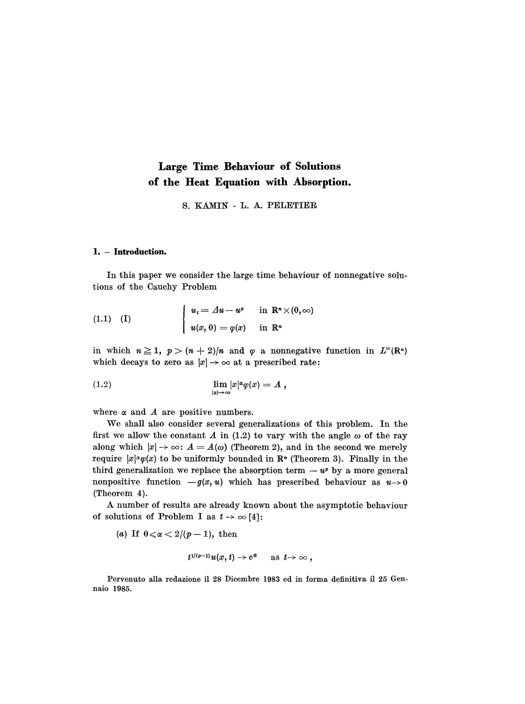## Large Time Behaviour of Solutions of the Heat Equation with Absorption.

S. KAMIN - L. A. PELETIER

#### 1. - Introduction.

In this paper we consider the large time behaviour of nonnegative solutions of the Cauchy Problem

(1.1) (I) 
$$
\begin{cases} u_t = \Delta u - u^p & \text{in } \mathbb{R}^n \times (0, \infty) \\ u(x, 0) = \varphi(x) & \text{in } \mathbb{R}^n \end{cases}
$$

in which  $n \ge 1$ ,  $p > (n+2)/n$  and  $\varphi$  a nonnegative function in  $L^{\infty}(\mathbb{R}^n)$ which decays to zero as  $|x| \to \infty$  at a prescribed rate:

$$
\lim_{|x|\to\infty} |x|^{\alpha} \varphi(x) = A,
$$

where  $\alpha$  and  $\dot{A}$  are positive numbers.

We shall also consider several generalizations of this problem. In the first we allow the constant  $A$  in (1.2) to vary with the angle  $\omega$  of the ray along which  $|x| \to \infty$ :  $A = A(\omega)$  (Theorem 2), and in the second we merely require  $|x|^\alpha \varphi(x)$  to be uniformly bounded in R<sup>n</sup> (Theorem 3). Finally in the third generalization we replace the absorption term  $-w^p$  by a more general nonpositive function  $-g(x, u)$  which has prescribed behaviour as  $u \rightarrow 0$ (Theorem 4).

A number of results are already known about the asymptotic behaviour of solutions of Problem I as  $t \to \infty$  [4]:

(a) If  $0 \le \alpha \le 2/(p-1)$ , then

$$
t^{1/(p-1)}u(x,t)\to c^* \quad \text{ as } t\to\infty,
$$

Pervenuto alla redazione il 28 Dicembre 1983 ed in forma definitiva il 25 Gennaio 1985.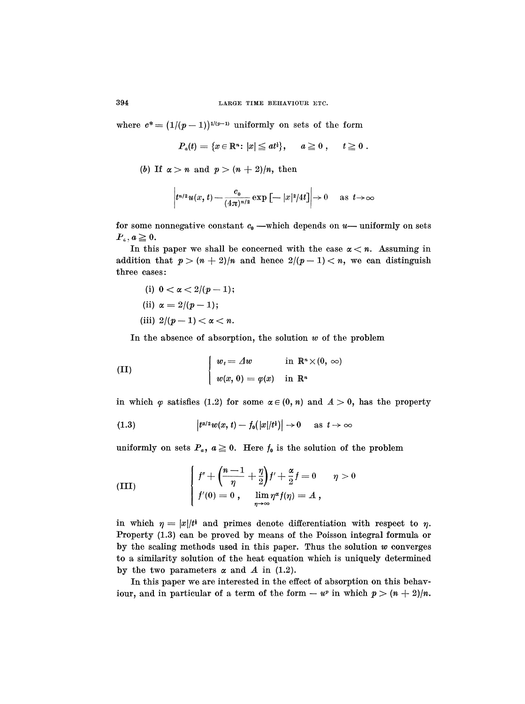where  $e^* = (1/(p-1))^{1/(p-1)}$  uniformly on sets of the form

$$
P_a(t)=\{x\in\mathbb{R}^n\colon |x|\leq at^{\frac{1}{2}}\},\quad \ \, a\geq 0\ ,\quad \ \, t\geq 0\ .
$$

(b) If  $\alpha > n$  and  $p > (n+2)/n$ , then

$$
t^{n/2}u(x,t) - \frac{c_0}{(4\pi)^{n/2}} \exp\left[-|x|^2/4t\right] \to 0 \quad \text{as } t \to \infty
$$

 $\left| t^{n/2} u(x, t) - \frac{c_0}{(4\pi)^{n/2}} \exp\left[-|x|^2/4t\right] \right| \to 0$  as  $t \to \infty$ <br>for some nonnegative constant  $c_0$  —which depends on u— uniformly on sets<br> $P_a, a \ge 0$ .

In this paper we shall be concerned with the case  $\alpha < n$ . Assuming in addition that  $p > (n+2)/n$  and hence  $2/(p-1) < n$ , we can distinguish three cases:

(i)  $0 < \alpha < 2/(p-1);$ (ii)  $\alpha = 2/(p-1)$ ; (iii)  $2/(p-1) < \alpha < n$ .

In the absence of absorption, the solution  $w$  of the problem

(II) 
$$
\begin{cases} w_t = \Delta w & \text{in } \mathbb{R}^n \times (0, \infty) \\ w(x, 0) = \varphi(x) & \text{in } \mathbb{R}^n \end{cases}
$$

in which  $\varphi$  satisfies (1.2) for some  $\alpha \in (0, n)$  and  $A > 0$ , has the property

$$
(1.3) \t\t\t |t^{\alpha/2}w(x, t)-f_0(|x|/t^{\frac{1}{2}})|\to 0 \quad \text{as } t\to\infty
$$

uniformly on sets  $P_a$ ,  $a \ge 0$ . Here  $f_0$  is the solution of the problem

(III) 
$$
\begin{cases} f'' + \left(\frac{n-1}{\eta} + \frac{\eta}{2}\right) f' + \frac{\alpha}{2} f = 0 & \eta > 0 \\ f'(0) = 0, & \lim_{\eta \to \infty} \eta^{\alpha} f(\eta) = A \end{cases}
$$

in which  $\eta = |x|/t^2$  and primes denote differentiation with respect to  $\eta$ . Property (1.3) can be proved by means of the Poisson integral formula or by the scaling methods used in this paper. Thus the solution  $w$  converges to a similarity solution of the heat equation which is uniquely determined by the two parameters  $\alpha$  and  $\dot{A}$  in (1.2).

In this paper we are interested in the effect of absorption on this behaviour, and in particular of a term of the form  $- u^p$  in which  $p > (n + 2)/n$ .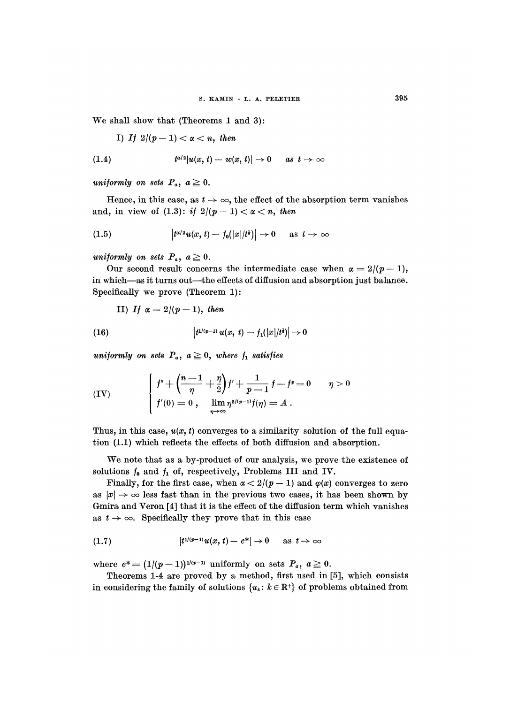We shall show that (Theorems 1 and 3):

I) If 
$$
2/(p-1) < \alpha < n
$$
, then

$$
(1.4) \t t^{\alpha/2}|u(x, t) - w(x, t)| \to 0 \t as t \to \infty
$$

uniformly on sets  $P_a$ ,  $a \geq 0$ .

Hence, in this case, as  $t \to \infty$ , the effect of the absorption term vanishes and, in view of (1.3): if  $2/(p-1) < \alpha < n$ , then

$$
(1.5) \qquad |t^{\alpha/2}u(x,t)-f_0(|x|/t^{\frac{1}{2}})|\to 0 \quad \text{as } t\to\infty
$$

uniformly on sets  $P_a$ ,  $a \geq 0$ .

Our second result concerns the intermediate case when  $\alpha = 2/(p-1)$ , in which-as it turns out-the effects of diffusion and absorption just balance. Specifically we prove (Theorem 1) :

II) If 
$$
\alpha = 2/(p-1)
$$
, then

(16) 
$$
\left| t^{1/(p-1)} u(x, t) - f_1(|x|/t^2) \right| \to 0
$$

uniformly on sets  $P_a$ ,  $a \geq 0$ , where  $f_1$  satisfies

(IV) 
$$
\begin{cases} f'' + \left(\frac{n-1}{\eta} + \frac{\eta}{2}\right) f' + \frac{1}{p-1} f - f^p = 0 & \eta > 0 \\ f'(0) = 0, \quad \lim_{\eta \to \infty} \eta^{2/(p-1)} f(\eta) = A \end{cases}
$$

Thus, in this case,  $u(x, t)$  converges to a similarity solution of the full equation (1.1) which reflects the effects of both diffusion and absorption.

We note that as a by-product of our analysis, we prove the existence of solutions  $f_0$  and  $f_1$  of, respectively, Problems III and IV.

Finally, for the first case, when  $\alpha < 2/(p - 1)$  and  $\varphi(x)$  converges to zero as  $|x| \to \infty$  less fast than in the previous two cases, it has been shown by Gmira and Veron [4] that it is the effect of the diffusion term which vanishes as  $t \rightarrow \infty$ . Specifically they prove that in this case

(1.7) 
$$
|t^{1/(p-1)}u(x, t) - c^*| \to 0
$$
 as  $t \to \infty$ 

where  $c^* = (1/(p-1))^{1/(p-1)}$  uniformly on sets  $P_a, a \ge 0$ .

Theorems 1-4 are proved by a method, first used in [5], which consists in considering the family of solutions  $\{u_k: k \in \mathbb{R}^+\}$  of problems obtained from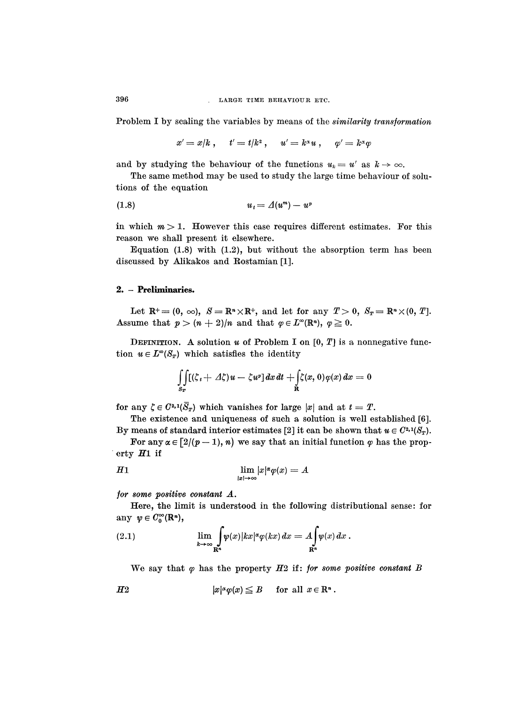Problem I by scaling the variables by means of the similarity transformation

$$
x'=x/k\ ,\quad \ t'=t/k^{\scriptscriptstyle 2} \ ,\quad \ u'=k^{\scriptscriptstyle \alpha} u\ ,\quad \ \varphi'=k^{\scriptscriptstyle \alpha}\varphi
$$

and by studying the behaviour of the functions  $u_k = u'$  as  $k \to \infty$ .

The same method may be used to study the large time behaviour of solutions of the equation

$$
(1.8) \t\t u_t = \Delta(u^m) - u^t
$$

in which  $m > 1$ . However this case requires different estimates. For this reason we shall present it elsewhere.

Equation (1.8) with (1.2), but without the absorption term has been discussed by Alikakos and Rostamian [1].

#### 2. - Preliminaries.

Let  $\mathbb{R}^+ = (0, \infty)$ ,  $S = \mathbb{R}^n \times \mathbb{R}^+$ , and let for any  $T > 0$ ,  $S_T = \mathbb{R}^n \times (0, T]$ . Assume that  $p > (n+2)/n$  and that  $\varphi \in L^{\infty}(\mathbb{R}^n)$ ,  $\varphi \geq 0$ .

DEFINITION. A solution  $u$  of Problem I on  $[0, T]$  is a nonnegative function  $u \in L^{\infty}(S_T)$  which satisfies the identity

$$
\iint\limits_{S_T} [(\zeta_t + \varDelta \zeta)u - \zeta u^p] dx dt + \iint\limits_{\mathbf{R}} \zeta(x,0)\varphi(x) dx = 0
$$

for any  $\zeta \in C^{2,1}(\overline{S}_T)$  which vanishes for large |x| and at  $t = T$ .

The existence and uniqueness of such a solution is well established [6]. By means of standard interior estimates [2] it can be shown that  $u \in C^{2,1}(S_T)$ .

For any  $\alpha \in [2/(p-1), n)$  we say that an initial function  $\varphi$  has the property  $H1$  if

$$
H1 \qquad \lim_{|x| \to \infty} |x|^{\alpha} \varphi(x) = A
$$

for some positive constant A.

Here, the limit is understood in the following distributional sense: for any  $\psi \in C_0^{\infty}(\mathbb{R}^n)$ ,

We say that  $\varphi$  has the property  $H2$  if: for some positive constant B

$$
H2 \t\t |x|^{\alpha} \varphi(x) \leq B \t \text{ for all } x \in \mathbb{R}^n.
$$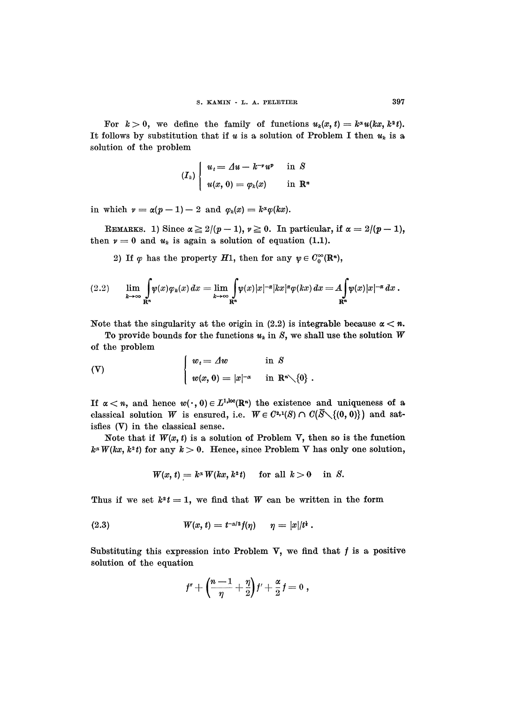397

For  $k > 0$ , we define the family of functions  $u_k(x, t) = k^{\alpha}u(kx, k^2t)$ . It follows by substitution that if u is a solution of Problem I then  $u_k$  is a solution of the problem

$$
(I_k)\begin{cases}u_t = \varDelta u - k^{-\nu}u^p & \text{in }\mathcal{S} \\u(x, 0) = \varphi_k(x) & \text{in }\mathbb{R}^n\end{cases}
$$

in which  $\nu = \alpha(p-1) - 2$  and  $\varphi_k(x) = k^{\alpha} \varphi(kx)$ .

REMARKS. 1) Since  $\alpha \geq 2/(p-1)$ ,  $\nu \geq 0$ . In particular, if  $\alpha = 2/(p-1)$ , then  $v = 0$  and  $u_k$  is again a solution of equation (1.1).

2) If  $\varphi$  has the property H<sub>1</sub>, then for any  $\psi \in C_0^{\infty}(\mathbb{R}^n)$ ,

Note that the singularity at the origin in (2.2) is integrable because  $\alpha < n$ .

To provide bounds for the functions  $u_k$  in S, we shall use the solution W of the problem

(V) 
$$
\begin{cases} w_t = \Delta w & \text{in } S \\ w(x, 0) = |x|^{-\alpha} & \text{in } \mathbb{R}^n \setminus \{0\} \end{cases}
$$

If  $\alpha < n$ , and hence  $w(\cdot, 0) \in L^{1,\text{loc}}(\mathbb{R}^n)$  the existence and uniqueness of a classical solution  $W$  is ensured, i.e.  $W \in C^{2,1}(S) \cap C(\overline{S} \setminus \{(0, 0)\})$  and satisfies (V) in the classical sense.

Note that if  $W(x, t)$  is a solution of Problem V, then so is the function  $k^{\alpha} W(kx, k^2 t)$  for any  $k > 0$ . Hence, since Problem V has only one solution,

$$
W(x, t) = k^{\alpha} W(kx, k^2 t) \quad \text{for all } k > 0 \quad \text{in } S.
$$

Thus if we set  $k^2 t = 1$ , we find that W can be written in the form

(2.3) 
$$
W(x, t) = t^{-\alpha/2} f(\eta) \quad \eta = |x|/t^2.
$$

Substituting this expression into Problem V, we find that  $f$  is a positive solution of the equation

$$
f'' + \left(\frac{n-1}{\eta} + \frac{\eta}{2}\right) f' + \frac{\alpha}{2} f = 0,
$$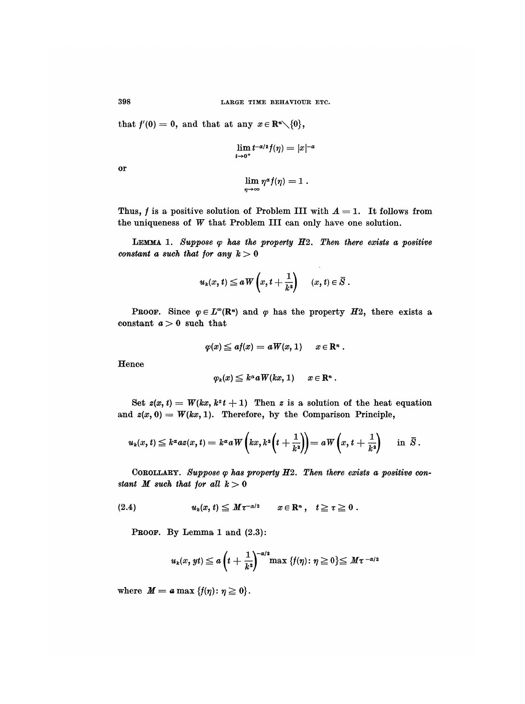that  $f'(0) = 0$ , and that at any  $x \in \mathbb{R}^n \setminus \{0\},\$ 

$$
\lim_{t\to 0^+}t^{-\alpha/2}f(\eta)=|x|^{-\alpha}
$$

or

$$
\lim_{\eta\to\infty}\eta^{\alpha}f(\eta)=1.
$$

Thus, f is a positive solution of Problem III with  $A = 1$ . It follows from the uniqueness of W that Problem III can only have one solution.

LEMMA 1. Suppose  $\varphi$  has the property  $H2$ . Then there exists a positive constant a such that for any  $k > 0$ 

 $\sim$ 

$$
u_k(x, t) \le a \, \overline{W}\left(x, t + \frac{1}{k^2}\right) \quad (x, t) \in \overline{S}.
$$

**PROOF.** Since  $\varphi \in L^{\infty}(\mathbb{R}^n)$  and  $\varphi$  has the property  $H2$ , there exists a constant  $a > 0$  such that

$$
\varphi(x)\leqq af(x)=a\hspace{0.05cm}W(x,1)\hspace{0.5cm}x\in\mathbf{R}^n\ .
$$

Hence

$$
\varphi_k(x) \leq k^{\alpha} a W(kx, 1) \qquad x \in \mathbb{R}^n .
$$

Set  $z(x, t) = W(kx, k^2t + 1)$  Then z is a solution of the heat equation and  $z(x, 0) = W(kx, 1)$ . Therefore, by the Comparison Principle,

$$
u_k(x,t) \leq k^{\alpha} a z(x,t) = k^{\alpha} a \, W\left(kx, k^2\left(t+\frac{1}{k^2}\right)\right) = a \, W\left(x, t+\frac{1}{k^2}\right) \quad \text{in } \bar{S}.
$$

COROLLARY. Suppose  $\varphi$  has property  $H2$ . Then there exists a positive constant  $M$  such that for all  $k > 0$ 

$$
(2.4) \t\t uk(x, t) \leq M\tau^{-\alpha/2} \t x \in \mathbb{R}^n, \quad t \geq \tau \geq 0.
$$

PROOF. By Lemma 1 and  $(2.3)$ :

$$
u_k(x,yt) \leq a \left(t + \frac{1}{k^2}\right)^{-\alpha/2} \max \left\{f(\eta) \colon \eta \geq 0\right\} \leq M\tau^{-\alpha/2}
$$

where  $M = a \max \{f(\eta) : \eta \geq 0\}.$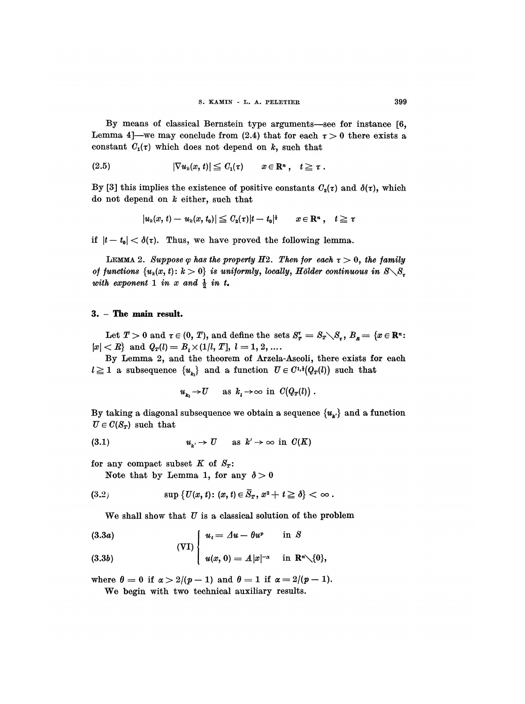By means of classical Bernstein type arguments-see for instance [6, Lemma 4]—we may conclude from (2.4) that for each  $\tau > 0$  there exists a constant  $C_1(\tau)$  which does not depend on k, such that

$$
(2.5) \t |\nabla u_k(x,t)| \leq C_1(\tau) \t x \in \mathbb{R}^n, \quad t \geq \tau.
$$

By [3] this implies the existence of positive constants  $C_2(\tau)$  and  $\delta(\tau)$ , which do not depend on  $k$  either, such that

$$
|u_k(x, t) - u_k(x, t_0)| \leq C_2(\tau) |t - t_0|^{\frac{1}{4}} \quad x \in \mathbb{R}^n , \quad t \geq \tau
$$

if  $|t - t_0| < \delta(\tau)$ . Thus, we have proved the following lemma.

LEMMA 2. Suppose  $\varphi$  has the property H2. Then for each  $\tau > 0$ , the family of functions  $\{u_k(x, t): k > 0\}$  is uniformly, locally, Hölder continuous in  $S \setminus S_x$ with exponent 1 in x and  $\frac{1}{2}$  in t.

#### 3. - The main result.

Let  $T > 0$  and  $\tau \in (0, T)$ , and define the sets  $S_{T}^{\tau} = S_{T} \setminus S_{\tau}$ ,  $B_{R} = \{x \in \mathbb{R}^{n}$ :  $|x| < R$  and  $Q_T(l) = B_t \times (1/l, T]$ ,  $l = 1, 2, ...$ 

By Lemma 2, and the theorem of Arzela-Ascoli, there exists for each  $l \geq 1$  a subsequence  $\{u_{k}\}\$  and a function  $U \in C^{1,1}(Q_T(l))$  such that

$$
u_{k_l} \to U
$$
 as  $k_l \to \infty$  in  $C(Q_T(l))$ .

By taking a diagonal subsequence we obtain a sequence  ${u_{\mathbf{k'}}}$  and a function  $U \in C(S_T)$  such that

$$
(3.1) \t\t u\iota \to U \t as k' \to \infty \t in C(K)
$$

for any compact subset  $K$  of  $S_T$ :

Note that by Lemma 1, for any  $\delta > 0$ 

$$
(3.2) \t\t\t sup \{U(x,t): (x,t)\in \overline{S}_T,\, x^2+t\geqq \delta\}<\infty\,.
$$

We shall show that  $U$  is a classical solution of the problem

$$
(3.3b) \t\t\t  $u(x, 0) = A|x|^{-\alpha}$  in  $\mathbb{R}^n \setminus \{0\},\$
$$

where  $\theta = 0$  if  $\alpha > 2/(p - 1)$  and  $\theta = 1$  if  $\alpha = 2/(p - 1)$ .

We begin with two technical auxiliary results.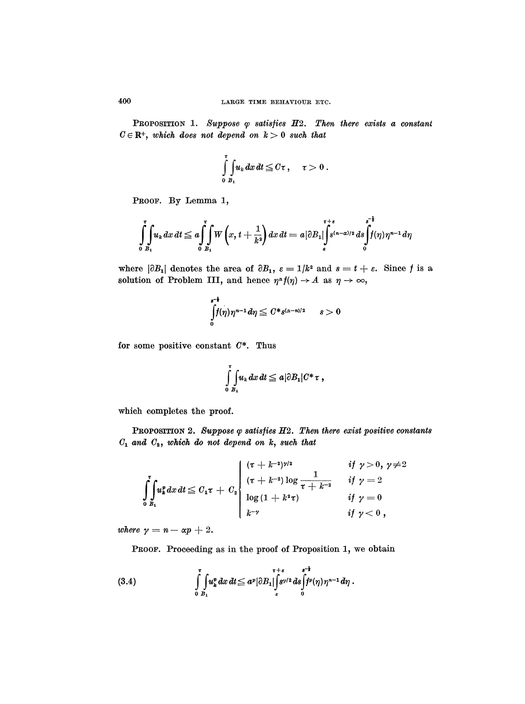PROPOSITION 1. Suppose  $\varphi$  satisfies  $H2$ . Then there exists a constant  $C \in \mathbb{R}^+$ , which does not depend on  $k > 0$  such that

$$
\int\limits_{0}^{\tau}\!\!\int\limits_{B_1}\!\!u_k\,dx\,dt\leqq C\tau\,,\quad \ \tau>0\;.
$$

PROOF. By Lemma 1,

$$
\int_{0}^{t} \int_{B_1} u_k dx dt \leq a \int_{0}^{t} \int_{B_1} W\left(x, t+\frac{1}{k^2}\right) dx dt = a |\partial B_1| \int_{\varepsilon}^{\tau+\varepsilon} s^{(n-\alpha)/2} ds \int_{0}^{s-\frac{1}{2}} f(\eta) \eta^{n-1} d\eta
$$

where  $|\partial B_1|$  denotes the area of  $\partial B_1$ ,  $\varepsilon = 1/k^2$  and  $s = t + \varepsilon$ . Since f is a solution of Problem III, and hence  $\eta^{\alpha} f(\eta) \rightarrow A$  as  $\eta \rightarrow \infty$ ,

$$
\int\limits_{0}^{s^{-1}}f(\eta)\eta^{n-1}d\eta\leqq C\ast_{S^{(\alpha-n)/2}}\qquad s>0
$$

for some positive constant  $C^*$ . Thus

$$
\int\limits_{0}^{\tau}\int\limits_{B_1} u_k\,dx\,dt\leqq a|\partial B_1|C^*\tau,
$$

which completes the proof.

PROPOSITION 2. Suppose  $\varphi$  satisfies  $H2$ . Then there exist positive constants  $C_1$  and  $C_2$ , which do not depend on k, such that

$$
\int_{0}^{t} u_k^p dx dt \leq C_1 \tau + C_2 \begin{cases} ( \tau + k^{-2} )^{\gamma/2} & \text{if } \gamma > 0, \, \gamma \neq 2 \\ ( \tau + k^{-2} ) \log \frac{1}{\tau + k^{-2}} & \text{if } \gamma = 2 \\ \log \left( 1 + k^2 \tau \right) & \text{if } \gamma = 0 \\ k^{-\gamma} & \text{if } \gamma < 0 , \end{cases}
$$

where  $\gamma = n - \alpha p + 2$ .

PROOF. Proceeding as in the proof of Proposition 1, we obtain

(3.4) 
$$
\int_{0}^{\tau} \int_{B_1} u_k^p dx dt \leq a^p |\partial B_1| \int_{\varepsilon}^{\tau+\varepsilon} s^{p/2} ds \int_{0}^{s-\varepsilon} f^p(\eta) \eta^{n-1} d\eta.
$$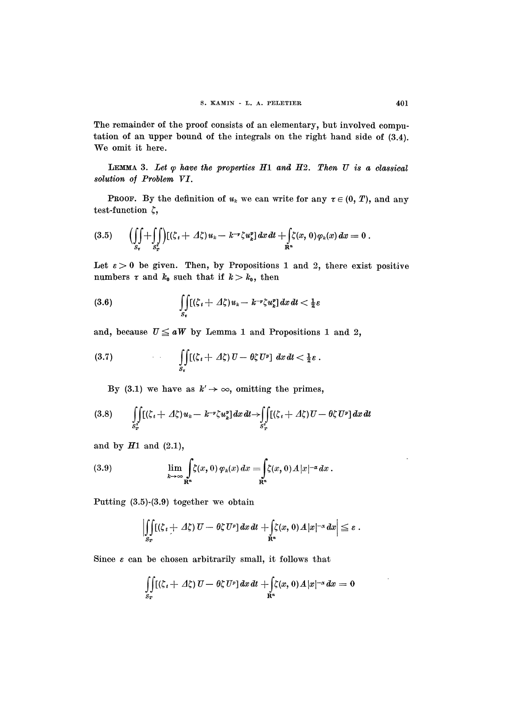The remainder of the proof consists of an elementary, but involved computation of an upper bound of the integrals on the right hand side of (3.4). We omit it here.

LEMMA 3. Let  $\varphi$  have the properties H1 and H2. Then U is a classical solution of Problem VI.

**PROOF.** By the definition of  $u_k$  we can write for any  $\tau \in (0, T)$ , and any test-function  $\zeta$ ,

$$
(3.5) \qquad \Bigl(\iint\limits_{S_{\tau}} + \iint\limits_{S_{\tau}^*} \Bigl) [(\zeta_t + \varDelta \zeta) u_k - k^{-\nu} \zeta u_k^p] \, dx \, dt + \iint\limits_{\mathbf{R}^n} \zeta(x, 0) \varphi_k(x) \, dx = 0 \; .
$$

Let  $\varepsilon > 0$  be given. Then, by Propositions 1 and 2, there exist positive numbers  $\tau$  and  $k_0$  such that if  $k > k_0$ , then

$$
\int\limits_{S_{\tau}}[(\zeta_i+\Delta\zeta)u_k-k^{-\nu}\zeta u_k^p]\,dx\,dt<\tfrac{1}{2}\varepsilon
$$

and, because  $U \le aW$  by Lemma 1 and Propositions 1 and 2,

(3.7) 
$$
\iint\limits_{S_{\tau}} [(\zeta_t + \varDelta \zeta) U - \theta \zeta U^p] dx dt < \tfrac{1}{2} \varepsilon.
$$

By (3.1) we have as  $k' \rightarrow \infty$ , omitting the primes,

$$
(3.8) \qquad \iint\limits_{S^*_T} [(\zeta_t + \varDelta \zeta) u_k - k^{-\nu} \zeta u_k^*] dx dt \to \iint\limits_{S^*_T} [(\zeta_t + \varDelta \zeta) U - \theta \zeta U^p] dx dt
$$

and by  $H1$  and  $(2.1)$ ,

(3.9) 
$$
\lim_{k\to\infty}\int_{\mathbf{R}^n}\zeta(x,0)\,\varphi_k(x)\,dx=\int_{\mathbf{R}^n}\zeta(x,0)\,A|x|^{-\alpha}\,dx.
$$

Putting (3.5)-(3.9) together we obtain

$$
\left|\iint\limits_{S_T} [(\zeta_t + \varDelta \zeta) U - \theta \zeta U^p] dx dt + \iint\limits_{\mathbf{R}^n} \zeta(x,0) \varDelta |x|^{-\alpha} dx \right| \leq \varepsilon.
$$

Since  $\varepsilon$  can be chosen arbitrarily small, it follows that

$$
\iint\limits_{S_T} [(\zeta_t + \varDelta \zeta) U - \theta \zeta U^p] dx dt + \iint\limits_{\mathbf{R}^n} \zeta(x,0) \varDelta |x|^{-\alpha} dx = 0
$$

 $\sim 100$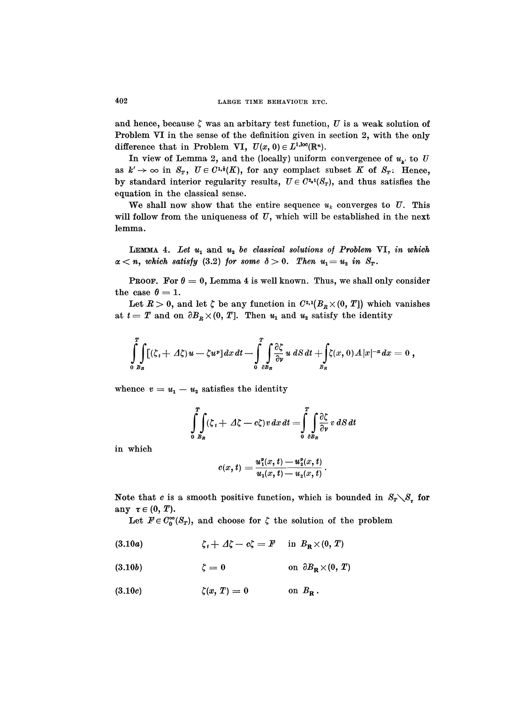and hence, because  $\zeta$  was an arbitary test function, U is a weak solution of Problem VI in the sense of the definition given in section 2, with the only difference that in Problem VI,  $U(x, 0) \in L^{1,loc}(\mathbb{R}^n)$ .

In view of Lemma 2, and the (locally) uniform convergence of  $u_{\mu}$  to U as  $k' \to \infty$  in  $S_T$ ,  $U \in C^{1,1}(K)$ , for any complact subset K of  $S_T$ : Hence, by standard interior regularity results,  $U \in C^{2,1}(S_T)$ , and thus satisfies the equation in the classical sense.

We shall now show that the entire sequence  $u_k$  converges to  $U$ . This will follow from the uniqueness of  $U$ , which will be established in the next lemma.

LEMMA 4. Let  $u_1$  and  $u_2$  be classical solutions of Problem VI, in which  $\alpha < n$ , which satisfy (3.2) for some  $\delta > 0$ . Then  $u_1 = u_2$  in  $S_T$ .

**PROOF.** For  $\theta = 0$ , Lemma 4 is well known. Thus, we shall only consider the case  $\theta = 1$ .

Let  $R > 0$ , and let  $\zeta$  be any function in  $C^{2,1}(B_R \times (0, T])$  which vanishes at  $t = T$  and on  $\partial B_R \times (0, T]$ . Then  $u_1$  and  $u_2$  satisfy the identity

$$
\int_{0}^{T}\int_{B_R} [(\zeta_t + \Delta \zeta)u - \zeta u^p] dx dt - \int_{0}^{T}\int_{\partial B_R} \frac{\partial \zeta}{\partial \nu} u dS dt + \int_{B_R} \zeta(x,0) \Delta |x|^{-\alpha} dx = 0,
$$

whence  $v = u_1 - u_2$  satisfies the identity

$$
\int_{0}^{T} \int_{B_R} (\zeta_t + \Delta \zeta - c \zeta) v \, dx \, dt = \int_{0}^{T} \int_{\partial B_R} \frac{\partial \zeta}{\partial \nu} v \, dS \, dt
$$

in which

$$
c(x,t) = \frac{u_1^2(x,t) - u_2^2(x,t)}{u_1(x,t) - u_2(x,t)}
$$

Note that c is a smooth positive function, which is bounded in  $S_T \setminus S_{\tau}$  for any  $\tau \in (0, T)$ .

Let  $F \in C_0^{\infty}(S_T)$ , and choose for  $\zeta$  the solution of the problem

- (3.10a)  $\zeta_t + \Delta \zeta - c \zeta = F$  in  $B_R \times (0, T)$
- on  $\partial B_{\mathbf{R}} \times (0,\ T)$ (3.10b)  $\zeta=0$
- $\zeta(x, T) = 0$ on  $B_{\mathbf{R}}$ .  $(3.10c)$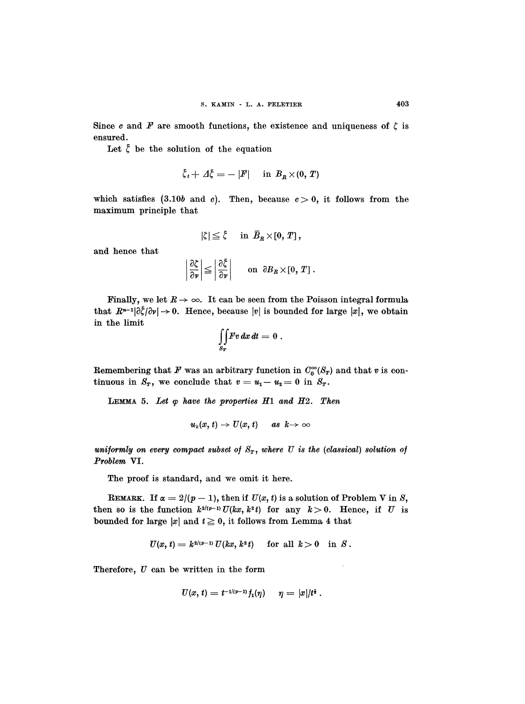Since c and F are smooth functions, the existence and uniqueness of  $\zeta$  is ensured.

Let  $\zeta$  be the solution of the equation

$$
\xi_t + \Delta \xi = -|F| \quad \text{in } B_R \times (0, T)
$$

which satisfies (3.10b and c). Then, because  $c > 0$ , it follows from the maximum principle that

$$
|\zeta|\leq \overline{\zeta}\quad\hbox{ in }\ \overline{B}_R\times[0,\,T]\,,
$$

and hence that

$$
\left|\frac{\partial \zeta}{\partial \nu}\right| \leq \left|\frac{\partial \zeta}{\partial \nu}\right| \quad \text{on} \quad \partial B_R \times [0, T].
$$

Finally, we let  $R \to \infty$ . It can be seen from the Poisson integral formula that  $R^{n-1}|\partial \xi/\partial v| \to 0$ . Hence, because |v| is bounded for large |x|, we obtain in the limit

$$
\iint\limits_{S_T} Fv\,dx\,dt=0\;.
$$

Remembering that  $F$  was an arbitrary function in  $C_0^{\infty}(S_T)$  and that v is continuous in  $S_T$ , we conclude that  $v = u_1 - u_2 = 0$  in  $S_T$ .

LEMMA 5. Let  $\varphi$  have the properties  $H1$  and  $H2$ . Then

$$
u_k(x, t) \to U(x, t) \quad \text{as } k \to \infty
$$

uniformly on every compact subset of  $S_T$ , where U is the (classical) solution of Problem VI.

The proof is standard, and we omit it here.

REMARK. If  $\alpha = 2/(p-1)$ , then if  $U(x, t)$  is a solution of Problem V in S, then so is the function  $k^{2(p-1)} U(kx, k^2t)$  for any  $k > 0$ . Hence, if  $U$  is bounded for large  $|x|$  and  $t \geq 0$ , it follows from Lemma 4 that

$$
U(x, t) = k^{2/(p-1)} U(kx, k^2 t) \quad \text{ for all } k > 0 \quad \text{in } S.
$$

Therefore,  $U$  can be written in the form

$$
U(x, t) = t^{-1/(p-1)} f_1(\eta) \quad \eta = |x|/t^*.
$$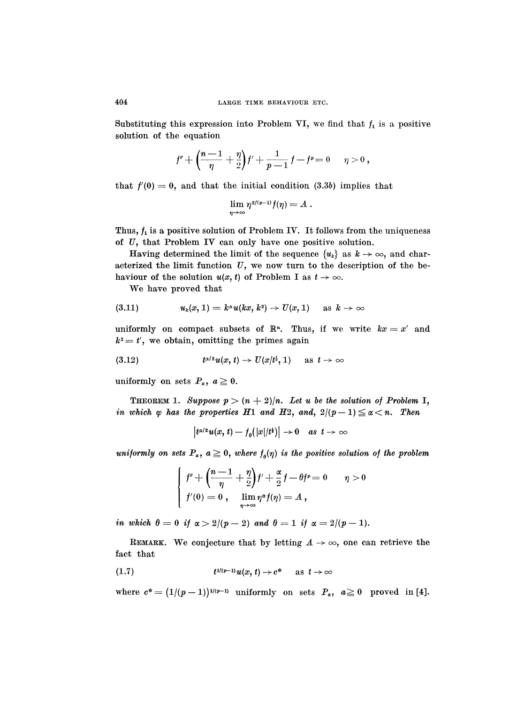Substituting this expression into Problem VI, we find that  $f_1$  is a positive solution of the equation

$$
f'' + \Big(\!\frac{n-1}{\eta} + \frac{\eta}{2}\!\Big) f' + \frac{1}{p-1}\,f - f^p\!=0 \quad \ \, \eta>0\,,
$$

that  $f'(0) = 0$ , and that the initial condition (3.3b) implies that

$$
\lim_{\eta\to\infty}\eta^{{\scriptscriptstyle 2/(p-1)}}f(\eta)=A\;.
$$

Thus,  $f_1$  is a positive solution of Problem IV. It follows from the uniqueness of  $U$ , that Problem IV can only have one positive solution.

Having determined the limit of the sequence  $\{u_k\}$  as  $k \to \infty$ , and characterized the limit function  $U$ , we now turn to the description of the behaviour of the solution  $u(x, t)$  of Problem I as  $t \to \infty$ .

We have proved that

$$
(3.11) \t uk(x, 1) = k\alphau(kx, k2) \rightarrow U(x, 1) \t as k \rightarrow \infty
$$

uniformly on compact subsets of  $\mathbb{R}^n$ . Thus, if we write  $kx = x'$  and  $k^2 = t'$ , we obtain, omitting the primes again

$$
(3.12) \t t^{\alpha/2}u(x,t) \to U(x/t^{\frac{1}{2}},1) \quad \text{as } t \to \infty
$$

uniformly on sets  $P_a, a \geq 0$ .

**THEOREM 1.** Suppose  $p > (n+2)/n$ . Let u be the solution of Problem I, in which  $\varphi$  has the properties  $H1$  and  $H2$ , and,  $2/(p-1) \le \alpha < n$ . Then

$$
\left| t^{\alpha/2} u(x, t) - f_{\theta}(|x|/t^{\frac{1}{2}}) \right| \to 0 \quad \text{as} \ \ t \to \infty
$$

uniformly on sets  $P_a$ ,  $a \geq 0$ , where  $f_{\theta}(\eta)$  is the positive solution of the problem

$$
\left\{\begin{array}{ll}f^{\prime\prime}+\left(\dfrac{n-1}{\eta}+\dfrac{\eta}{2}\right)f^{\prime}+\dfrac{\alpha}{2}\,f-\theta f^p=0 & \quad \eta>0 \\ f^\prime(0)=0\ , & \displaystyle\lim_{\eta\rightarrow\infty}\eta^\alpha f(\eta)=A\ ,\end{array}\right.
$$

in which  $\theta = 0$  if  $\alpha > 2/((p-2)$  and  $\theta = 1$  if  $\alpha = 2/(p-1)$ .

REMARK. We conjecture that by letting  $A \rightarrow \infty$ , one can retrieve the fact that

$$
(1.7) \t t1/(p-1)u(x, t) \to c^* \t as t \to \infty
$$

where  $c^* = (1/(p-1))^{1/(p-1)}$  uniformly on sets  $P_a$ ,  $a \ge 0$  proved in [4].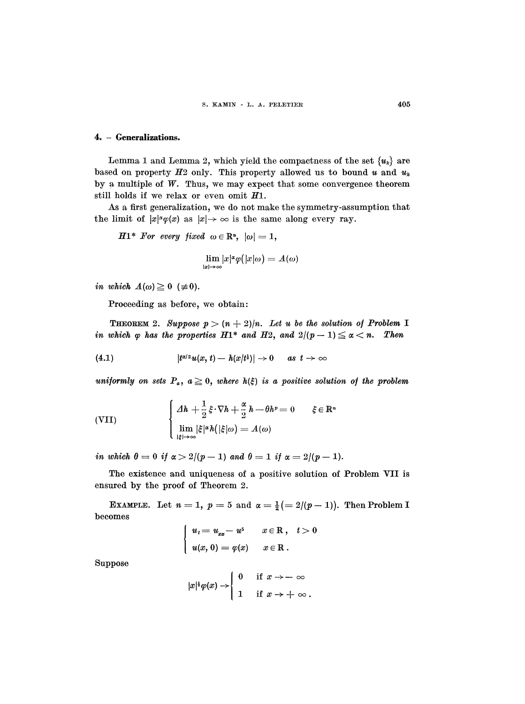#### 4. - Generalizations.

Lemma 1 and Lemma 2, which yield the compactness of the set  $\{u_k\}$  are based on property  $H_2$  only. This property allowed us to bound u and  $u_k$ by a multiple of  $W$ . Thus, we may expect that some convergence theorem still holds if we relax or even omit  $H1$ .

As a first generalization, we do not make the symmetry-assumption that the limit of  $|x|^\alpha \varphi(x)$  as  $|x| \to \infty$  is the same along every ray.

 $H1^*$  For every fixed  $\omega \in \mathbb{R}^n$ ,  $|\omega| = 1$ ,

$$
\lim_{|x|\to\infty}|x|^{\alpha}\varphi(|x|\omega)=A(\omega)
$$

in which  $A(\omega) \geq 0$  ( $\neq 0$ ).

Proceeding as before, we obtain:

**THEOREM** 2. Suppose  $p > (n+2)/n$ . Let u be the solution of Problem I in which  $\varphi$  has the properties  $H1^*$  and  $H2$ , and  $2/(p-1) \leq \alpha < n$ . Then

$$
(4.1) \t\t\t |t^{\alpha/2}u(x,t)-h(x/t^{\frac{1}{2}})|\to 0 \t as t\to \infty
$$

uniformly on sets  $P_a$ ,  $a \geq 0$ , where  $h(\xi)$  is a positive solution of the problem

(VII) 
$$
\begin{cases} \Delta h + \frac{1}{2} \xi \cdot \nabla h + \frac{\alpha}{2} h - \theta h^p = 0 & \xi \in \mathbb{R}^n \\ \lim_{|\xi| \to \infty} |\xi|^\alpha h(|\xi|\omega) = A(\omega) \end{cases}
$$

in which  $\theta = 0$  if  $\alpha > 2/(p-1)$  and  $\theta = 1$  if  $\alpha = 2/(p-1)$ .

The existence and uniqueness of a positive solution of Problem VII is ensured by the proof of Theorem 2.

EXAMPLE. Let  $n = 1$ ,  $p = 5$  and  $\alpha = \frac{1}{2} (= 2/(p-1))$ . Then Problem I becomes

$$
\begin{cases}\n u_t = u_{xx} - u^5 & x \in \mathbb{R}, \quad t > 0 \\
 u(x, 0) = \varphi(x) & x \in \mathbb{R}.\n\end{cases}
$$

Suppose

$$
|x|^{\frac{1}{2}}\varphi(x) \to \begin{cases} 0 & \text{if } x \to -\infty \\ 1 & \text{if } x \to +\infty. \end{cases}
$$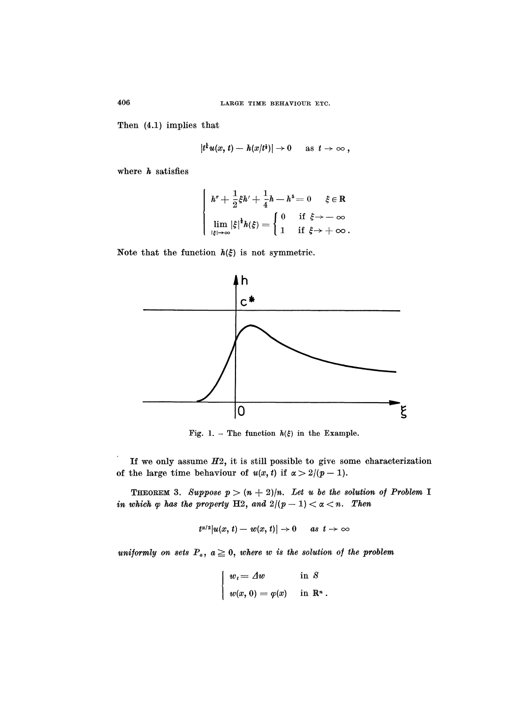Then (4.1) implies that

$$
|t^{\frac{1}{2}}u(x, t)-h(x/t^{\frac{1}{2}})|\to 0 \quad \text{as } t\to \infty,
$$

where  $h$  satisfies

$$
\left\{\begin{array}{ll} h''+\frac{1}{2}\xi h'+\frac{1}{4}h-h^5=0 & \xi\in\mathbb{R} \\[1.5ex] \lim_{|\xi|\to\infty}|\xi|^{\frac{1}{2}}h(\xi)=\left\{\begin{array}{ll} 0 & \text{if}\ \xi\to-\infty \\[1.5ex] 1 & \text{if}\ \xi\to+\infty \end{array}.\right. \end{array}\right.
$$

Note that the function  $h(\xi)$  is not symmetric.



Fig. 1. - The function  $h(\xi)$  in the Example.

If we only assume  $H2$ , it is still possible to give some characterization of the large time behaviour of  $u(x, t)$  if  $\alpha > 2/(p-1)$ .

**THEOREM 3.** Suppose  $p > (n+2)/n$ . Let u be the solution of Problem I in which  $\varphi$  has the property H2, and  $2/(p-1) < \alpha < n$ . Then

$$
t^{\alpha/2}|u(x, t)-w(x, t)|\to 0 \quad as \ t\to\infty
$$

uniformly on sets  $P_a$ ,  $a \geq 0$ , where w is the solution of the problem

$$
\begin{cases}\nw_t = \varDelta w & \text{in } S \\
w(x, 0) = \varphi(x) & \text{in } \mathbb{R}^n.\n\end{cases}
$$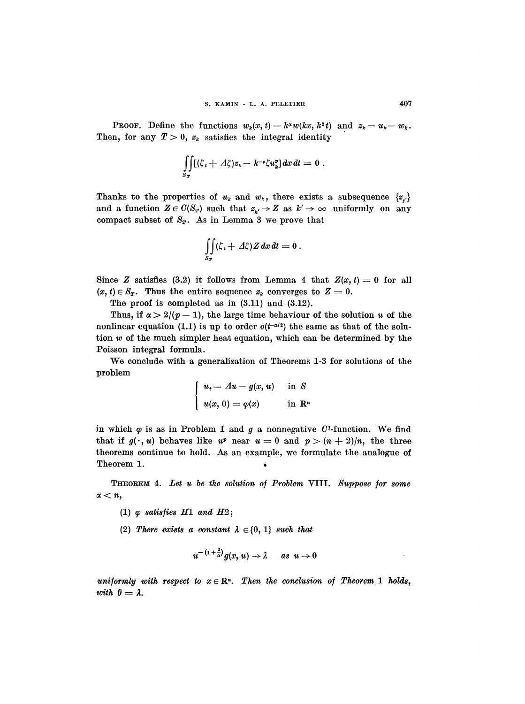**PROOF.** Define the functions  $w_k(x, t) = k^{\alpha} w(kx, k^2 t)$  and  $z_k = u_k - w_k$ . Then, for any  $T > 0$ ,  $z_k$  satisfies the integral identity

$$
\iint\limits_{S_T} [(\zeta_t + \varDelta \zeta) z_k - k^{-\nu} \zeta u_k^{\nu}] dx dt = 0.
$$

Thanks to the properties of  $u_k$  and  $w_k$ , there exists a subsequence  $\{z_i\}$ and a function  $Z \in C(S_T)$  such that  $z_{\nu} \to Z$  as  $k' \to \infty$  uniformly on any compact subset of  $S_T$ . As in Lemma 3 we prove that

$$
\iint\limits_{S_T} (\zeta_t + \varDelta \zeta) Z \, dx \, dt = 0 \, .
$$

Since Z satisfies (3.2) it follows from Lemma 4 that  $Z(x, t) = 0$  for all  $(x, t) \in S_T$ . Thus the entire sequence  $z_k$  converges to  $Z = 0$ .

The proof is completed as in  $(3.11)$  and  $(3.12)$ .

Thus, if  $\alpha > 2/((p-1))$ , the large time behaviour of the solution u of the nonlinear equation (1.1) is up to order  $o(t^{-\alpha/2})$  the same as that of the solution w of the much simpler heat equation, which can be determined by the Poisson integral formula.

We conclude with a generalization of Theorems 1-3 for solutions of the problem

$$
\begin{cases}\n u_t = \varDelta u - g(x, u) & \text{in } S \\
 u(x, 0) = \varphi(x) & \text{in } \mathbb{R}^n\n\end{cases}
$$

in which  $\varphi$  is as in Problem I and  $g$  a nonnegative  $C^1$ -function. We find that if  $g(\cdot, u)$  behaves like  $u^p$  near  $u = 0$  and  $p > (n + 2)/n$ , the three theorems continue to hold. As an example, we formulate the analogue of in which  $\varphi$  is as in Problem I and  $g$  a<br>that if  $g(\cdot, u)$  behaves like  $u^p$  near  $u =$ <br>theorems continue to hold. As an exam<br>Theorem 1.

THEOREM 4. Let u be the solution of Problem VIII. Suppose for some  $\alpha < n$ ,

(1)  $\varphi$  satisfies  $H1$  and  $H2$ ;

(2) There exists a constant  $\lambda \in \{0, 1\}$  such that

$$
u^{-(1+\frac{2}{\alpha})}g(x,u)\to\lambda\qquad as\ \ u\to0
$$

uniformly with respect to  $x \in \mathbb{R}^n$ . Then the conclusion of Theorem 1 holds, with  $\theta = \lambda$ .